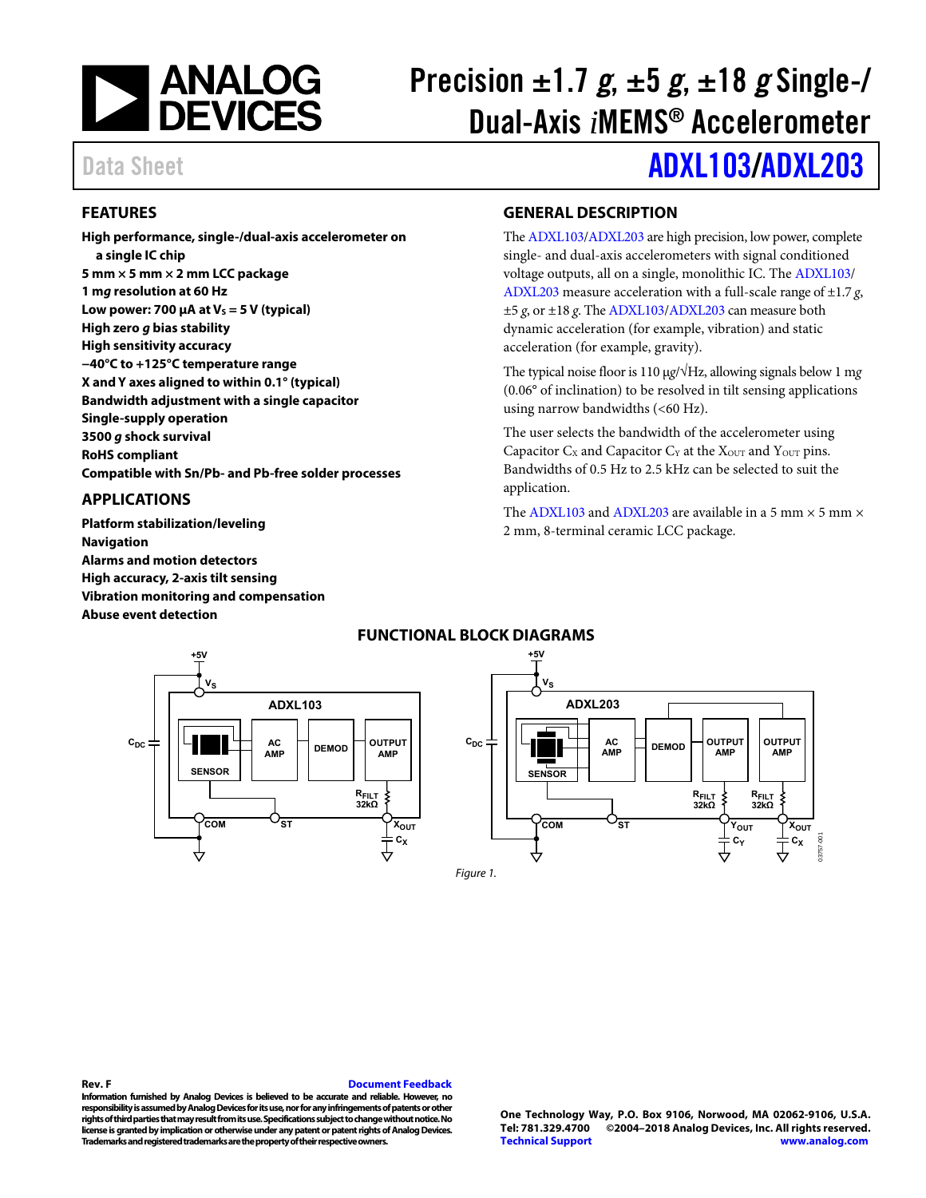

# Precision  $\pm 1.7$  g,  $\pm 5$  g,  $\pm 18$  g Single-/ Dual-Axis *i*MEMS® Accelerometer

# Data Sheet **[ADXL103/](http://www.analog.com/ADXL103?doc=ADXL103_203.pdf)[ADXL203](http://www.analog.com/ADXL203?doc=ADXL103_203.pdf)**

### <span id="page-0-0"></span>**FEATURES**

**High performance, single-/dual-axis accelerometer on a single IC chip 5 mm × 5 mm × 2 mm LCC package 1 mg resolution at 60 Hz**  Low power: 700  $\mu$ A at V<sub>s</sub> = 5 V (typical) **High zero g bias stability High sensitivity accuracy −40°C to +125°C temperature range X and Y axes aligned to within 0.1° (typical) Bandwidth adjustment with a single capacitor Single-supply operation 3500 g shock survival RoHS compliant Compatible with Sn/Pb- and Pb-free solder processes** 

### <span id="page-0-1"></span>**APPLICATIONS**

**Platform stabilization/leveling Navigation Alarms and motion detectors High accuracy, 2-axis tilt sensing Vibration monitoring and compensation Abuse event detection** 

### <span id="page-0-2"></span>**GENERAL DESCRIPTION**

Th[e ADXL103](http://www.analog.com/ADXL103?doc=ADXL103_203.pdf)[/ADXL203 a](http://www.analog.com/ADXL203?doc=ADXL103_203.pdf)re high precision, low power, complete single- and dual-axis accelerometers with signal conditioned voltage outputs, all on a single, monolithic IC. The [ADXL103/](http://www.analog.com/ADXL103?doc=ADXL103_203.pdf) [ADXL203](http://www.analog.com/ADXL203?doc=ADXL103_203.pdf) measure acceleration with a full-scale range of ±1.7 *g*, ±5 *g*, or ±18 *g*. Th[e ADXL103](http://www.analog.com/ADXL103?doc=ADXL103_203.pdf)[/ADXL203 c](http://www.analog.com/ADXL203?doc=ADXL103_203.pdf)an measure both dynamic acceleration (for example, vibration) and static acceleration (for example, gravity).

The typical noise floor is 110 μ*g*/√Hz, allowing signals below 1 m*g* (0.06° of inclination) to be resolved in tilt sensing applications using narrow bandwidths (<60 Hz).

The user selects the bandwidth of the accelerometer using Capacitor  $C_X$  and Capacitor  $C_Y$  at the  $X_{\text{OUT}}$  and  $Y_{\text{OUT}}$  pins. Bandwidths of 0.5 Hz to 2.5 kHz can be selected to suit the application.

The [ADXL103](http://www.analog.com/ADXL103?doc=ADXL103_203.pdf) an[d ADXL203 a](http://www.analog.com/ADXL203?doc=ADXL103_203.pdf)re available in a 5 mm  $\times$  5 mm  $\times$ 2 mm, 8-terminal ceramic LCC package.

<span id="page-0-3"></span>

### **FUNCTIONAL BLOCK DIAGRAMS**

#### **Rev. F [Document Feedback](https://form.analog.com/Form_Pages/feedback/documentfeedback.aspx?doc=ADXL103_ADXL203.pdf&product=ADXL103%20ADXL203&rev=F)**

**Information furnished by Analog Devices is believed to be accurate and reliable. However, no responsibility is assumed by Analog Devices for its use, nor for any infringements of patents or other rights of third parties that may result from its use. Specifications subject to change without notice. No license is granted by implication or otherwise under any patent or patent rights of Analog Devices. Trademarks and registered trademarks are the property of their respective owners.**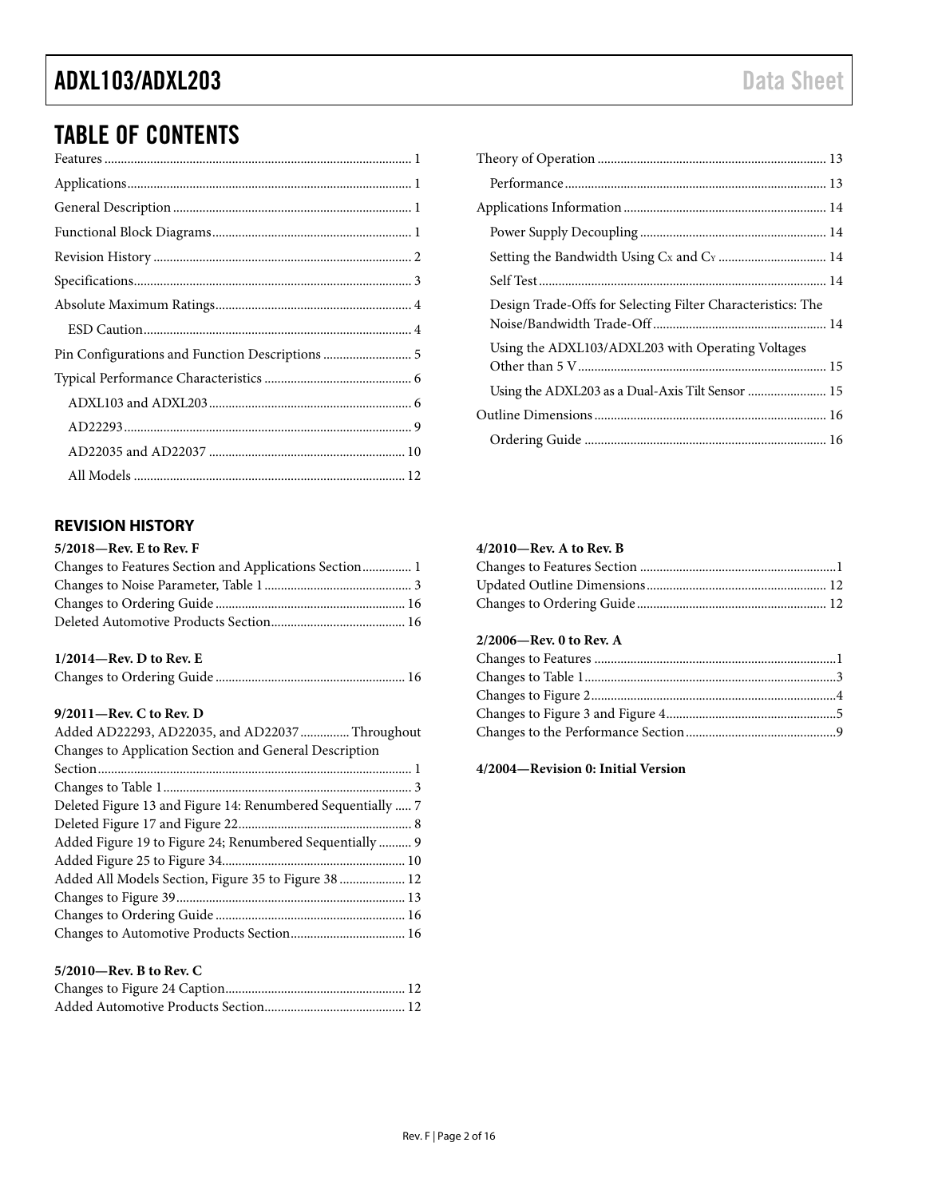# TABLE OF CONTENTS

### <span id="page-1-0"></span>**REVISION HISTORY**

### **5/2018—Rev. E to Rev. F**

### **1/2014—Rev. D to Rev. E**

|--|--|--|--|--|

### **9/2011—Rev. C to Rev. D**

| Added AD22293, AD22035, and AD22037  Throughout          |
|----------------------------------------------------------|
| Changes to Application Section and General Description   |
|                                                          |
|                                                          |
|                                                          |
|                                                          |
| Added Figure 19 to Figure 24; Renumbered Sequentially  9 |
|                                                          |
| Added All Models Section, Figure 35 to Figure 38  12     |
|                                                          |
|                                                          |
|                                                          |
|                                                          |
| $5/2010$ —Rev. B to Rev. C                               |
|                                                          |

| Design Trade-Offs for Selecting Filter Characteristics: The |
|-------------------------------------------------------------|
| Using the ADXL103/ADXL203 with Operating Voltages           |
| Using the ADXL203 as a Dual-Axis Tilt Sensor  15            |
|                                                             |
|                                                             |

#### **4/2010—Rev. A to Rev. B**

### **2/2006—Rev. 0 to Rev. A**

### **4/2004—Revision 0: Initial Version**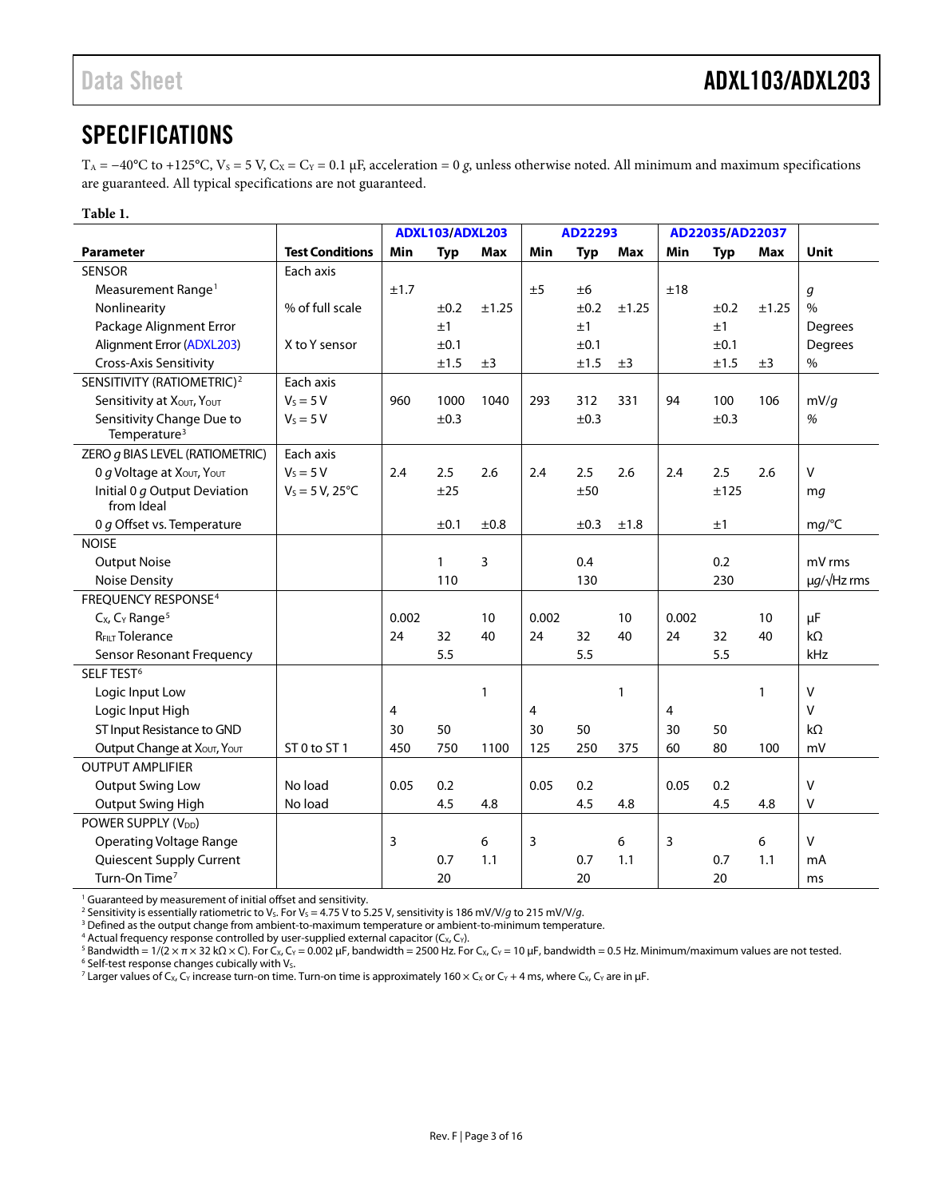### <span id="page-2-0"></span>**SPECIFICATIONS**

T<sub>A</sub> = −40°C to +125°C, V<sub>S</sub> = 5 V, C<sub>X</sub> = C<sub>Y</sub> = 0.1 µF, acceleration = 0 *g*, unless otherwise noted. All minimum and maximum specifications are guaranteed. All typical specifications are not guaranteed.

### **Table 1.**

|                                                      |                          |       | ADXL103/ADXL203 |       |       | AD22293    |              |                | AD22035/AD22037 |       |                       |
|------------------------------------------------------|--------------------------|-------|-----------------|-------|-------|------------|--------------|----------------|-----------------|-------|-----------------------|
| <b>Parameter</b>                                     | <b>Test Conditions</b>   | Min   | <b>Typ</b>      | Max   | Min   | <b>Typ</b> | <b>Max</b>   | Min            | <b>Typ</b>      | Max   | <b>Unit</b>           |
| <b>SENSOR</b>                                        | Each axis                |       |                 |       |       |            |              |                |                 |       |                       |
| Measurement Range <sup>1</sup>                       |                          | ±1.7  |                 |       | ±5    | ±6         |              | ±18            |                 |       | g                     |
| Nonlinearity                                         | % of full scale          |       | ±0.2            | ±1.25 |       | ±0.2       | ±1.25        |                | ±0.2            | ±1.25 | $\frac{0}{0}$         |
| Package Alignment Error                              |                          |       | ±1              |       |       | ±1         |              |                | ±1              |       | <b>Degrees</b>        |
| Alignment Error (ADXL203)                            | X to Y sensor            |       | ±0.1            |       |       | ±0.1       |              |                | ±0.1            |       | Degrees               |
| Cross-Axis Sensitivity                               |                          |       | ±1.5            | ±3    |       | ±1.5       | ±3           |                | ±1.5            | ±3    | $\%$                  |
| SENSITIVITY (RATIOMETRIC) <sup>2</sup>               | Each axis                |       |                 |       |       |            |              |                |                 |       |                       |
| Sensitivity at XOUT, YOUT                            | $V_s = 5 V$              | 960   | 1000            | 1040  | 293   | 312        | 331          | 94             | 100             | 106   | mV/g                  |
| Sensitivity Change Due to                            | $V_s = 5 V$              |       | ±0.3            |       |       | ±0.3       |              |                | ±0.3            |       | $\%$                  |
| Temperature <sup>3</sup>                             |                          |       |                 |       |       |            |              |                |                 |       |                       |
| ZERO g BIAS LEVEL (RATIOMETRIC)                      | Each axis                |       |                 |       |       |            |              |                |                 |       |                       |
| O g Voltage at Xout, Yout                            | $V_s = 5 V$              | 2.4   | 2.5             | 2.6   | 2.4   | 2.5        | 2.6          | 2.4            | 2.5             | 2.6   | V                     |
| Initial 0 g Output Deviation<br>from Ideal           | $V_S = 5 V, 25^{\circ}C$ |       | ±25             |       |       | ±50        |              |                | ±125            |       | mq                    |
| 0 g Offset vs. Temperature                           |                          |       | ±0.1            | ±0.8  |       | ±0.3       | ±1.8         |                | ±1              |       | mg/C                  |
| <b>NOISE</b>                                         |                          |       |                 |       |       |            |              |                |                 |       |                       |
| <b>Output Noise</b>                                  |                          |       | $\mathbf{1}$    | 3     |       | 0.4        |              |                | 0.2             |       | mV rms                |
| <b>Noise Density</b>                                 |                          |       | 110             |       |       | 130        |              |                | 230             |       | $\mu g/\sqrt{Hz}$ rms |
| <b>FREOUENCY RESPONSE<sup>4</sup></b>                |                          |       |                 |       |       |            |              |                |                 |       |                       |
| $Cx$ , $Cx$ Range <sup>5</sup>                       |                          | 0.002 |                 | 10    | 0.002 |            | 10           | 0.002          |                 | 10    | μF                    |
| <b>REILT Tolerance</b>                               |                          | 24    | 32              | 40    | 24    | 32         | 40           | 24             | 32              | 40    | $k\Omega$             |
| Sensor Resonant Frequency                            |                          |       | 5.5             |       |       | 5.5        |              |                | 5.5             |       | kHz                   |
| SELF TEST <sup>6</sup>                               |                          |       |                 |       |       |            |              |                |                 |       |                       |
| Logic Input Low                                      |                          |       |                 | 1     |       |            | $\mathbf{1}$ |                |                 | 1     | V                     |
| Logic Input High                                     |                          | 4     |                 |       | 4     |            |              | $\overline{4}$ |                 |       | V                     |
| ST Input Resistance to GND                           |                          | 30    | 50              |       | 30    | 50         |              | 30             | 50              |       | $k\Omega$             |
| Output Change at X <sub>OUT</sub> , Y <sub>OUT</sub> | ST 0 to ST 1             | 450   | 750             | 1100  | 125   | 250        | 375          | 60             | 80              | 100   | mV                    |
| <b>OUTPUT AMPLIFIER</b>                              |                          |       |                 |       |       |            |              |                |                 |       |                       |
| <b>Output Swing Low</b>                              | No load                  | 0.05  | 0.2             |       | 0.05  | 0.2        |              | 0.05           | 0.2             |       | V                     |
| Output Swing High                                    | No load                  |       | 4.5             | 4.8   |       | 4.5        | 4.8          |                | 4.5             | 4.8   | $\vee$                |
| POWER SUPPLY (V <sub>DD</sub> )                      |                          |       |                 |       |       |            |              |                |                 |       |                       |
| <b>Operating Voltage Range</b>                       |                          | 3     |                 | 6     | 3     |            | 6            | 3              |                 | 6     | v                     |
| Quiescent Supply Current                             |                          |       | 0.7             | 1.1   |       | 0.7        | 1.1          |                | 0.7             | 1.1   | mA                    |
| Turn-On Time <sup>7</sup>                            |                          |       | 20              |       |       | 20         |              |                | 20              |       | ms                    |

<sup>1</sup> Guaranteed by measurement of initial offset and sensitivity.

2 Sensitivity is essentially ratiometric to V<sub>S</sub>. For V<sub>S</sub> = 4.75 V to 5.25 V, sensitivity is 186 mV/V/*g* to 215 mV/V/*g*.

<sup>3</sup> Defined as the output change from ambient-to-maximum temperature or ambient-to-minimum temperature.

 $4$  Actual frequency response controlled by user-supplied external capacitor ( $C_x$ ,  $C_y$ ).

<sup>5</sup> Bandwidth = 1/(2 × π × 32 kΩ × C). For C<sub>x</sub>, C<sub>Y</sub> = 0.002 µF, bandwidth = 2500 Hz. For C<sub>x</sub>, C<sub>Y</sub> = 10 µF, bandwidth = 0.5 Hz. Minimum/maximum values are not tested. 6 Self-test response changes cubically with V<sub>S</sub>.

<sup>7</sup> Larger values of C<sub>X</sub>, C<sub>Y</sub> increase turn-on time. Turn-on time is approximately 160 × C<sub>x</sub> or C<sub>Y</sub> + 4 ms, where C<sub>X</sub>, C<sub>Y</sub> are in µF.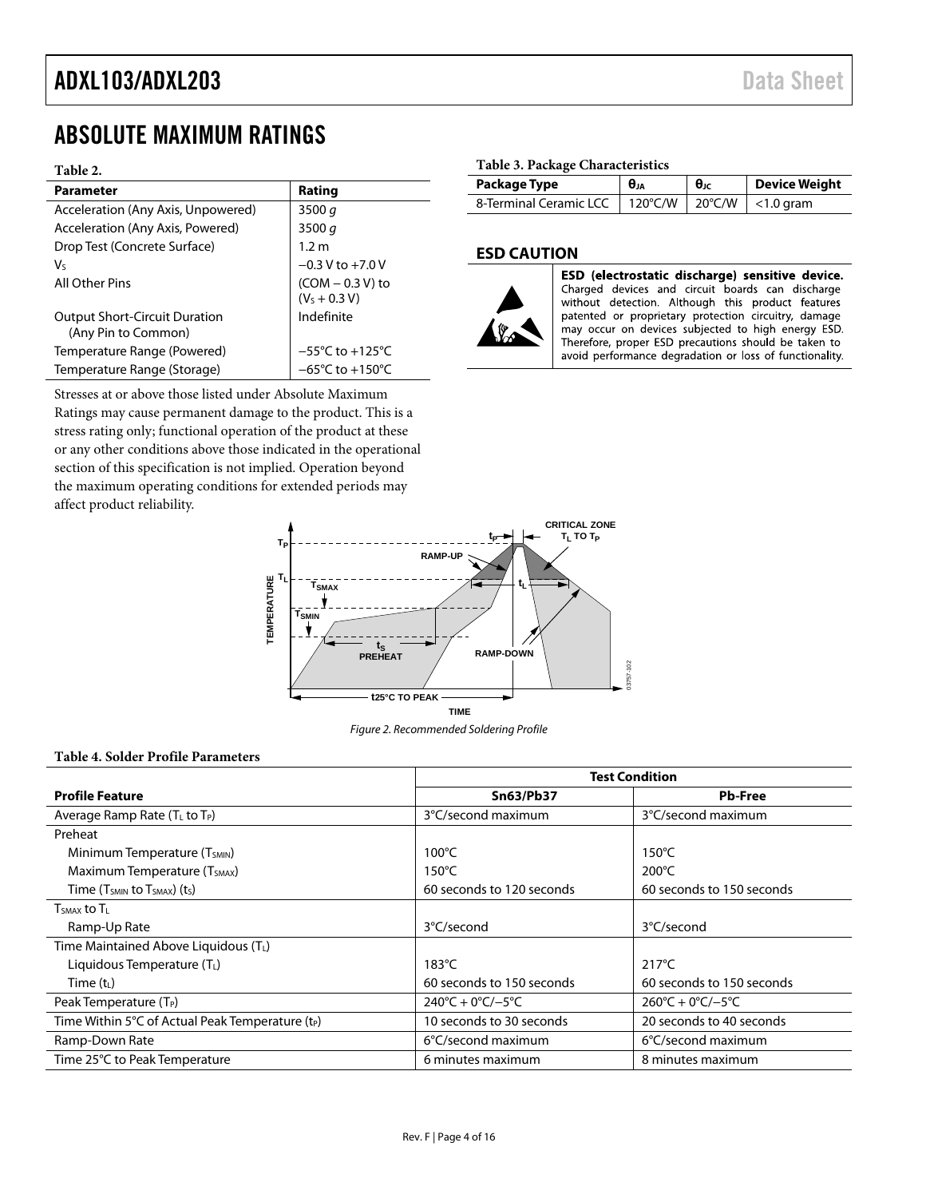## <span id="page-3-0"></span>ABSOLUTE MAXIMUM RATINGS

#### **Table 2.**

| <b>Parameter</b>                                            | Rating                               |
|-------------------------------------------------------------|--------------------------------------|
| Acceleration (Any Axis, Unpowered)                          | 3500 $q$                             |
| Acceleration (Any Axis, Powered)                            | 3500 $q$                             |
| Drop Test (Concrete Surface)                                | 1.2 m                                |
| V٢                                                          | $-0.3 V$ to $+7.0 V$                 |
| All Other Pins                                              | $(COM - 0.3 V)$ to<br>$(VS + 0.3 V)$ |
| <b>Output Short-Circuit Duration</b><br>(Any Pin to Common) | Indefinite                           |
| Temperature Range (Powered)                                 | $-55^{\circ}$ C to $+125^{\circ}$ C  |
| Temperature Range (Storage)                                 | $-65^{\circ}$ C to $+150^{\circ}$ C  |

Stresses at or above those listed under Absolute Maximum Ratings may cause permanent damage to the product. This is a stress rating only; functional operation of the product at these or any other conditions above those indicated in the operational section of this specification is not implied. Operation beyond the maximum operating conditions for extended periods may affect product reliability.

#### **Table 3. Package Characteristics**

| Package Type           | $\theta_{JA}$                       | $\theta_{\text{JC}}$ | <b>Device Weight</b>      |
|------------------------|-------------------------------------|----------------------|---------------------------|
| 8-Terminal Ceramic LCC | $120^{\circ}$ C/W $120^{\circ}$ C/W |                      | $\vert$ $\vert$ <1.0 gram |

### <span id="page-3-1"></span>**ESD CAUTION**



ESD (electrostatic discharge) sensitive device. Charged devices and circuit boards can discharge without detection. Although this product features patented or proprietary protection circuitry, damage may occur on devices subjected to high energy ESD. Therefore, proper ESD precautions should be taken to avoid performance degradation or loss of functionality.



Figure 2. Recommended Soldering Profile

### **Table 4. Solder Profile Parameters**

|                                                              | <b>Test Condition</b>                   |                                         |  |  |
|--------------------------------------------------------------|-----------------------------------------|-----------------------------------------|--|--|
| <b>Profile Feature</b>                                       | <b>Sn63/Pb37</b>                        | <b>Pb-Free</b>                          |  |  |
| Average Ramp Rate (T <sub>L</sub> to T <sub>P</sub> )        | 3°C/second maximum                      | 3°C/second maximum                      |  |  |
| Preheat                                                      |                                         |                                         |  |  |
| Minimum Temperature (T <sub>SMIN</sub> )                     | $100^{\circ}$ C                         | $150^{\circ}$ C                         |  |  |
| Maximum Temperature (T <sub>SMAX</sub> )                     | $150^{\circ}$ C                         | $200^{\circ}$ C                         |  |  |
| Time $(T_{SMIN}$ to $T_{SMAX}$ ) (t <sub>s</sub> )           | 60 seconds to 120 seconds               | 60 seconds to 150 seconds               |  |  |
| $T_{SMAX}$ to $T_{L}$                                        |                                         |                                         |  |  |
| Ramp-Up Rate                                                 | 3°C/second                              | 3°C/second                              |  |  |
| Time Maintained Above Liquidous (TL)                         |                                         |                                         |  |  |
| Liquidous Temperature $(T_L)$                                | $183^{\circ}$ C                         | $217^{\circ}$ C                         |  |  |
| Time $(t_L)$                                                 | 60 seconds to 150 seconds               | 60 seconds to 150 seconds               |  |  |
| Peak Temperature $(T_P)$                                     | $240^{\circ}C + 0^{\circ}C/-5^{\circ}C$ | $260^{\circ}C + 0^{\circ}C/-5^{\circ}C$ |  |  |
| Time Within 5°C of Actual Peak Temperature (t <sub>P</sub> ) | 10 seconds to 30 seconds                | 20 seconds to 40 seconds                |  |  |
| Ramp-Down Rate                                               | 6°C/second maximum                      | 6°C/second maximum                      |  |  |
| Time 25°C to Peak Temperature                                | 6 minutes maximum                       | 8 minutes maximum                       |  |  |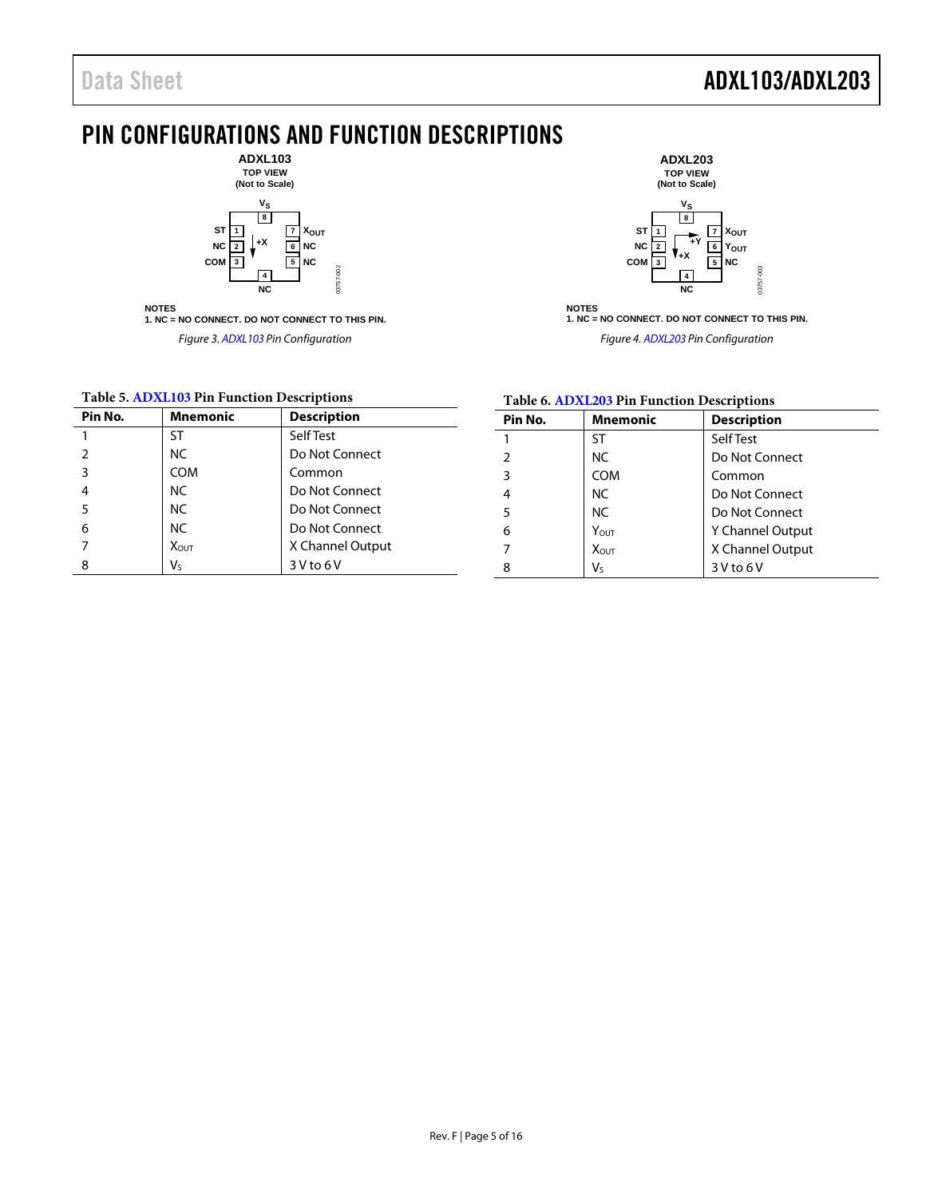### <span id="page-4-0"></span>PIN CONFIGURATIONS AND FUNCTION DESCRIPTIONS

03757-002



**NOTES 1. NC = NO CONNECT. DO NOT CONNECT TO THIS PIN.** *Figure 3[. ADXL103](http://www.analog.com/ADXL103?doc=ADXL103_203.pdf) Pin Configuration* 



**NOTES 1. NC = NO CONNECT. DO NOT CONNECT TO THIS PIN.**

*Figure 4[. ADXL203](http://www.analog.com/ADXL203?doc=ADXL103_203.pdf) Pin Configuration*

### **Table 5[. ADXL103](http://www.analog.com/ADXL103?doc=ADXL103_203.pdf) Pin Function Descriptions**

| Pin No. | <b>Mnemonic</b> | <b>Description</b> |
|---------|-----------------|--------------------|
| 1       | <b>ST</b>       | Self Test          |
| 2       | NC.             | Do Not Connect     |
| 3       | <b>COM</b>      | Common             |
| 4       | NC.             | Do Not Connect     |
| 5       | NC.             | Do Not Connect     |
| 6       | NC.             | Do Not Connect     |
|         | <b>XOUT</b>     | X Channel Output   |
| 8       | Vs              | 3 V to 6 V         |

### **Table 6[. ADXL203](http://www.analog.com/ADXL203?doc=ADXL103_203.pdf) Pin Function Descriptions**

| Pin No.       | Mnemonic         | <b>Description</b> |
|---------------|------------------|--------------------|
| 1             | ST               | Self Test          |
| $\mathfrak z$ | NC.              | Do Not Connect     |
| 3             | <b>COM</b>       | Common             |
| 4             | NC.              | Do Not Connect     |
| 5             | NC.              | Do Not Connect     |
| 6             | Y <sub>OUT</sub> | Y Channel Output   |
| 7             | Xоит             | X Channel Output   |
| 8             | $V_{S}$          | $3V$ to $6V$       |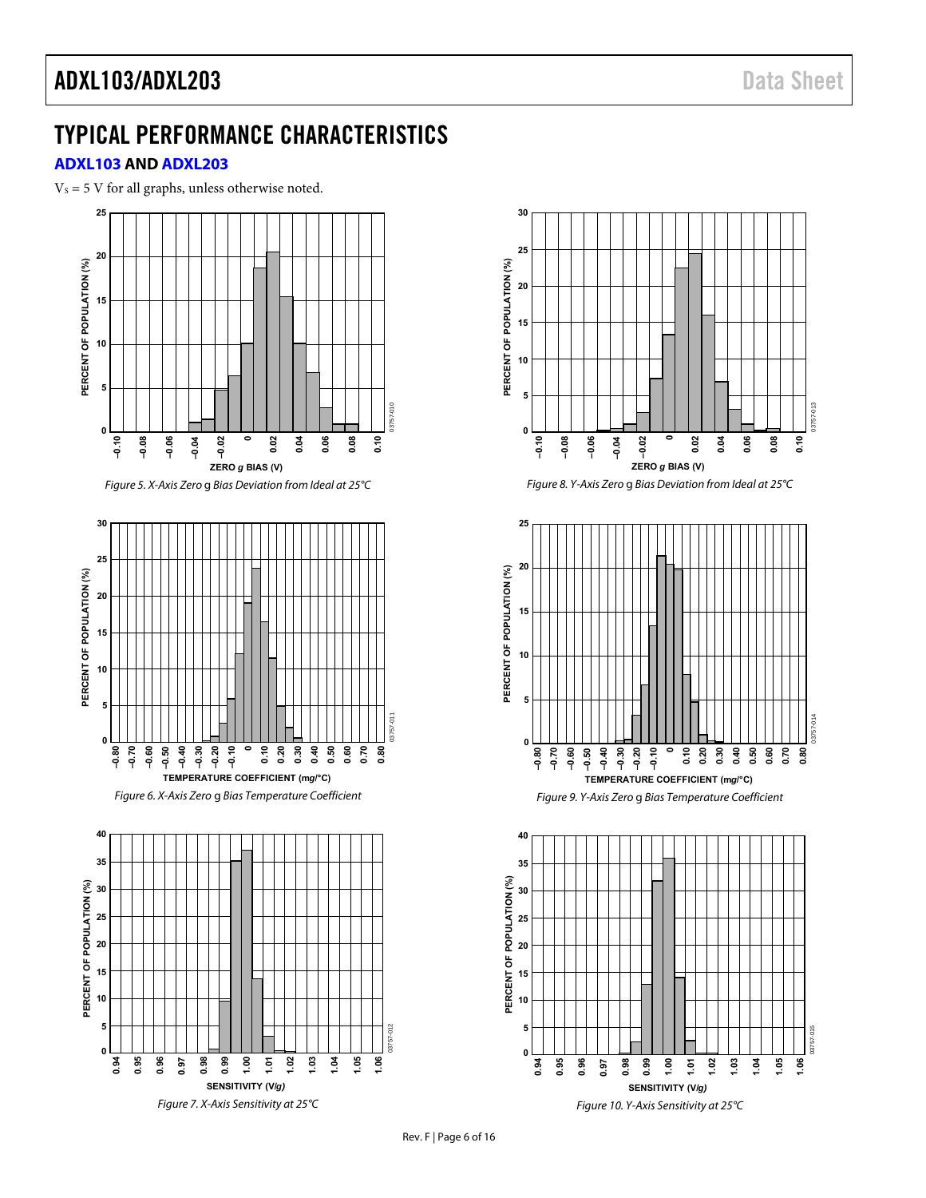### <span id="page-5-0"></span>TYPICAL PERFORMANCE CHARACTERISTICS

### <span id="page-5-1"></span>**[ADXL103](http://www.analog.com/ADXL103?doc=ADXL103_203.pdf) AND [ADXL203](http://www.analog.com/ADXL203?doc=ADXL103_203.pdf)**

 $V<sub>S</sub> = 5 V$  for all graphs, unless otherwise noted.





Figure 10. Y-Axis Sensitivity at 25°C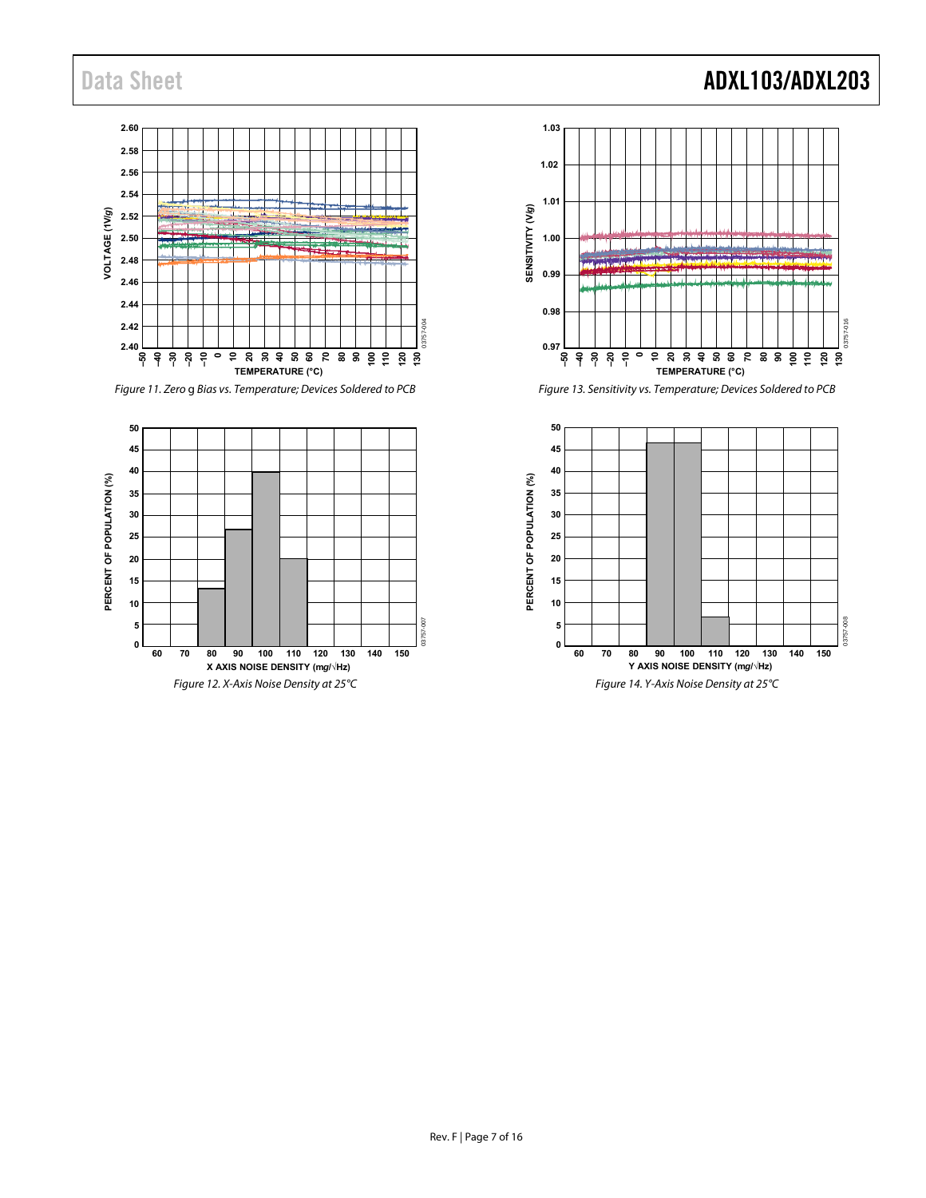#### **2.60 2.58 2.56 2.54** VOLTAGE (1V/g) **VOLTAGE (1V/***g***) 2.52 2.50 2.48 2.46 2.44 2.42** 03757-004 03757-004 **2.40 0–50 –40 –30 –20 –10 10 20 30 40 50 60 70 80 90 100 110 120 130 TEMPERATURE (°C)**

<span id="page-6-0"></span>Figure 11. Zero g Bias vs. Temperature; Devices Soldered to PCB



## Data Sheet **ADXL103/ADXL203**



Figure 13. Sensitivity vs. Temperature; Devices Soldered to PCB

<span id="page-6-1"></span>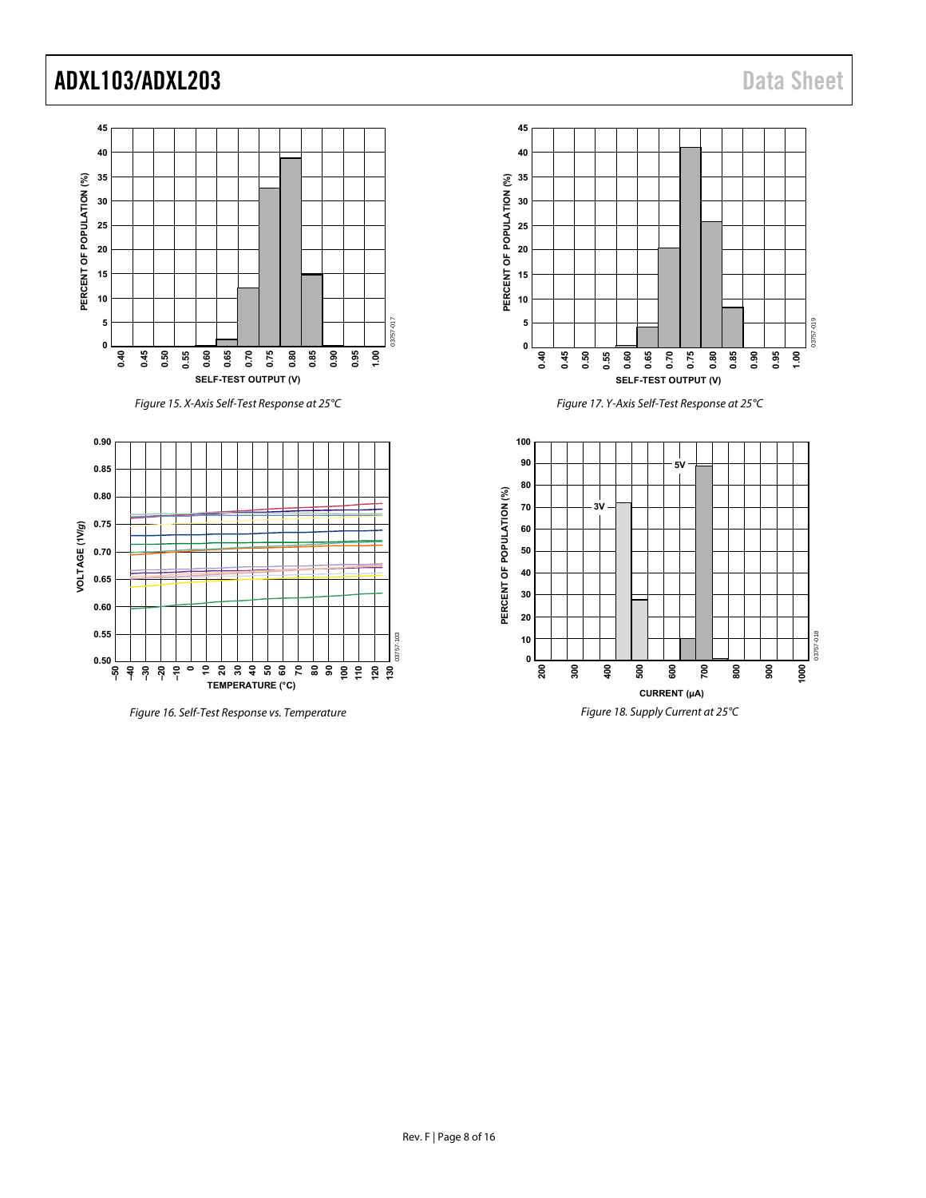

Figure 15. X-Axis Self-Test Response at 25°C



Figure 16. Self-Test Response vs. Temperature



Figure 17. Y-Axis Self-Test Response at 25°C

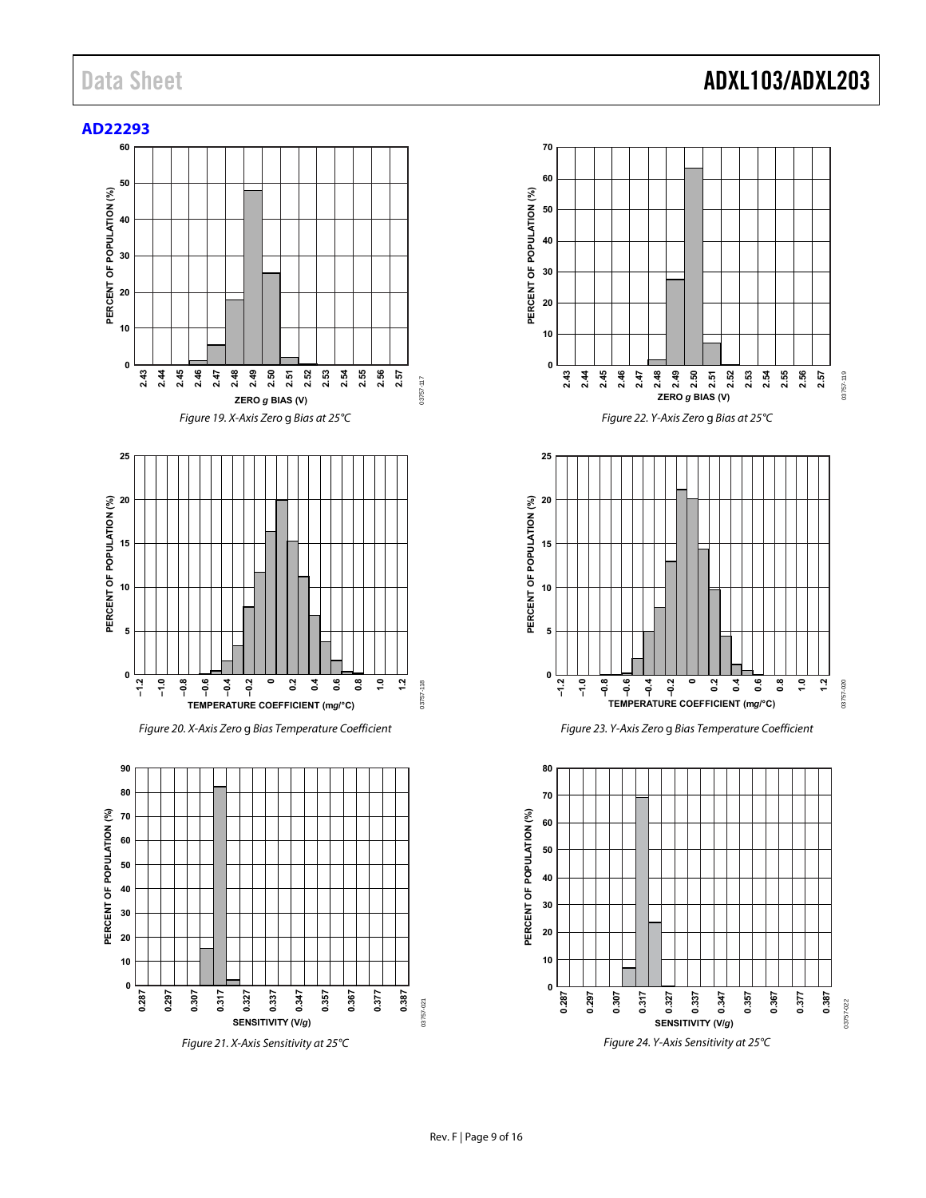<span id="page-8-0"></span>





Figure 22. Y-Axis Zero g Bias at 25°C



Figure 23. Y-Axis Zero g Bias Temperature Coefficient

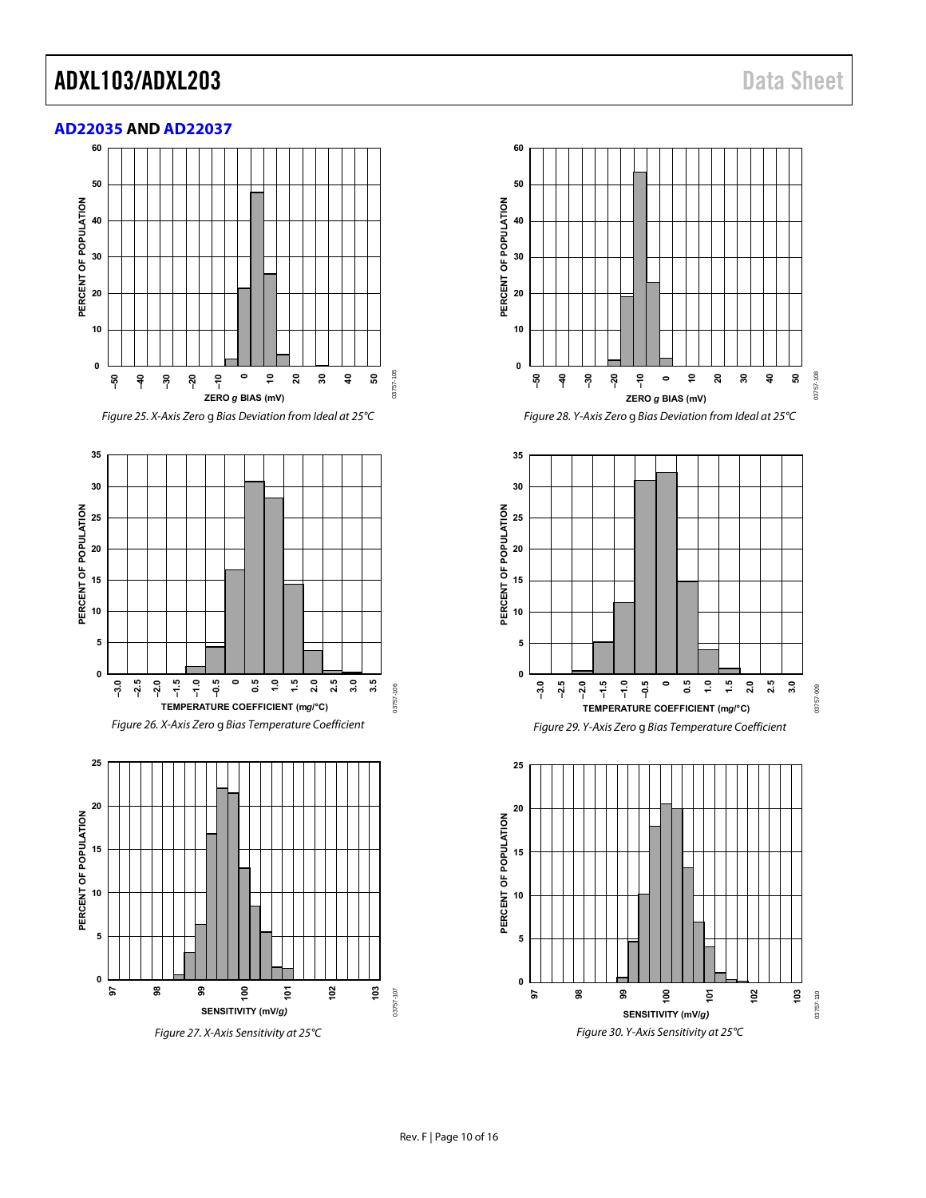<span id="page-9-0"></span>



Figure 25. X-Axis Zero g Bias Deviation from Ideal at 25°C





Figure 27. X-Axis Sensitivity at 25°C



Figure 28. Y-Axis Zero g Bias Deviation from Ideal at 25°C



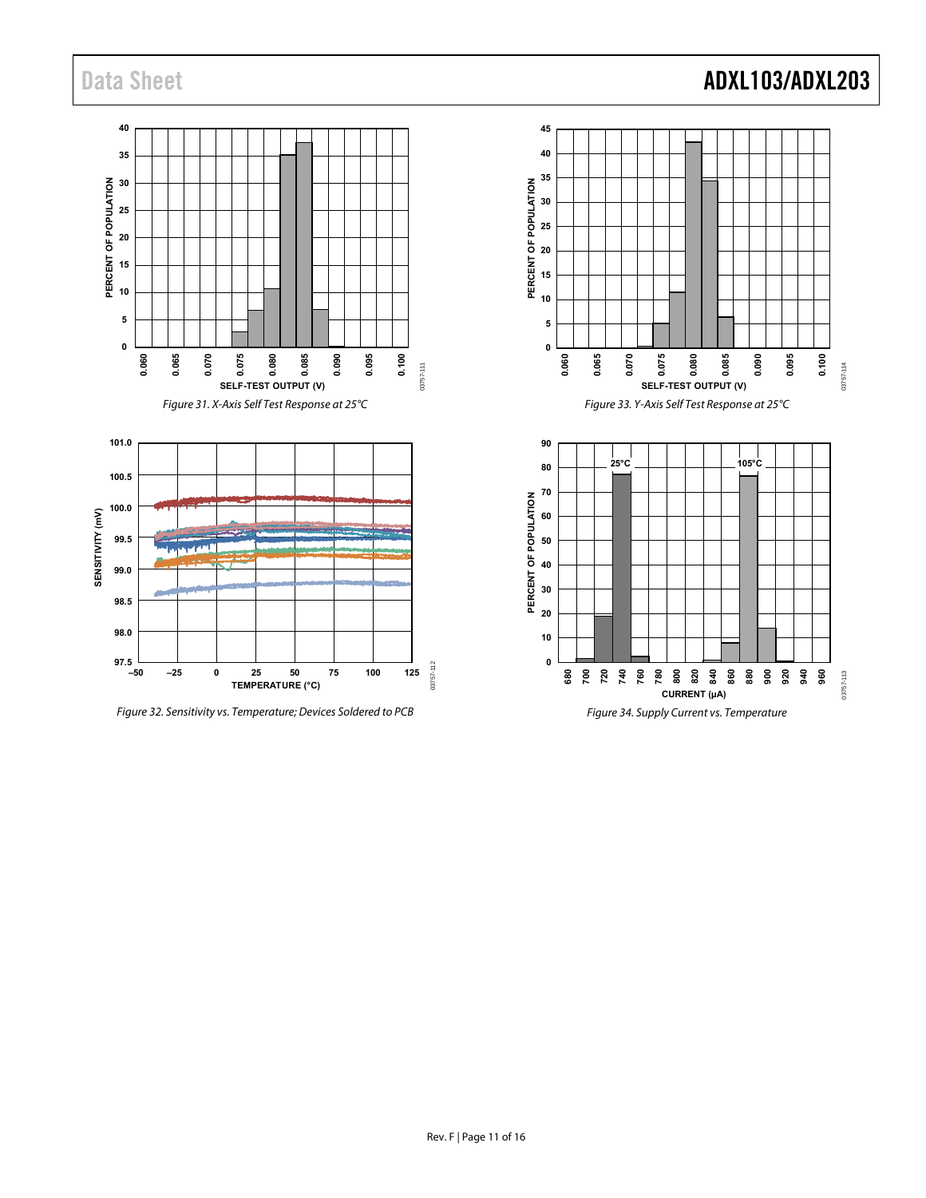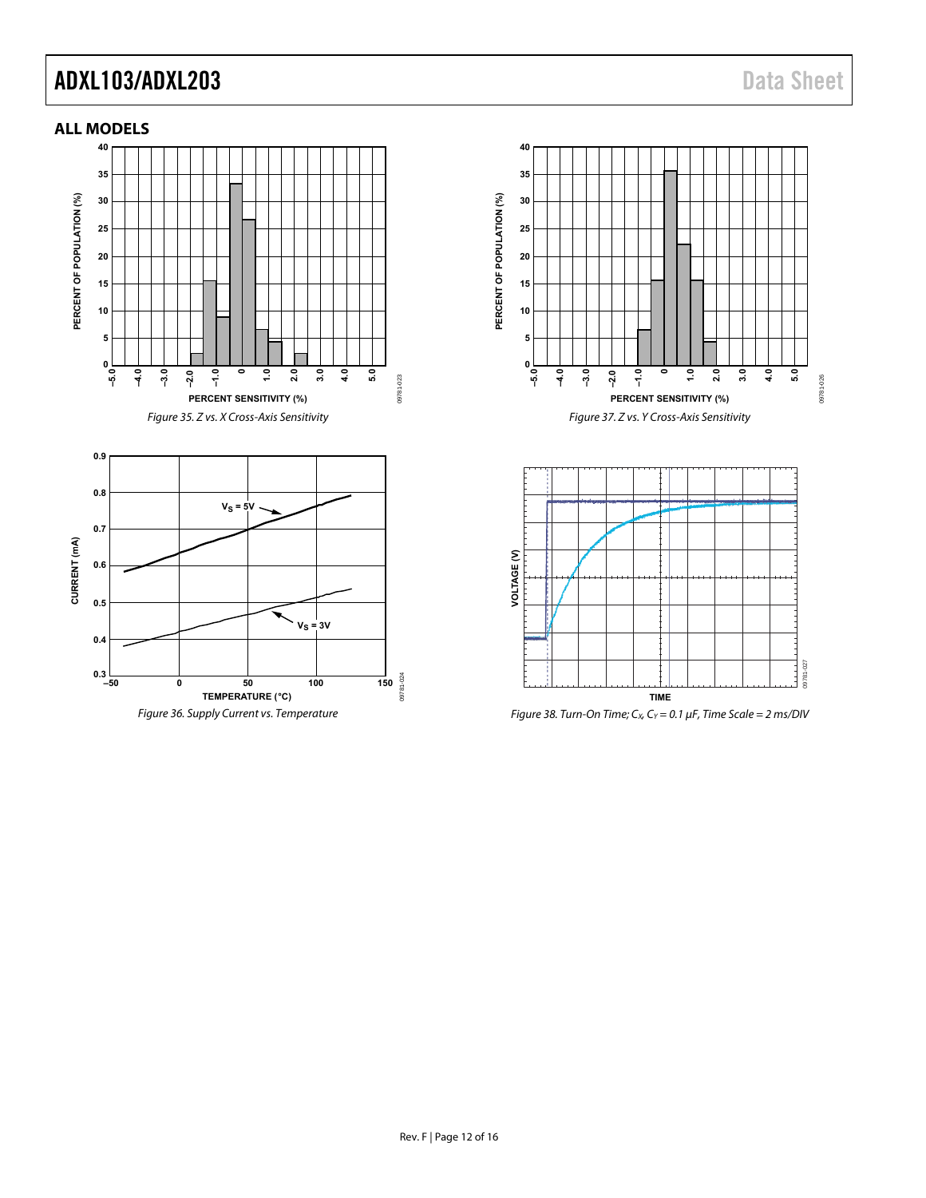### <span id="page-11-0"></span>**ALL MODELS**



Figure 36. Supply Current vs. Temperature



Figure 37. Z vs. Y Cross-Axis Sensitivity



Figure 38. Turn-On Time;  $C_x$ ,  $C_y$  = 0.1  $\mu$ F, Time Scale = 2 ms/DIV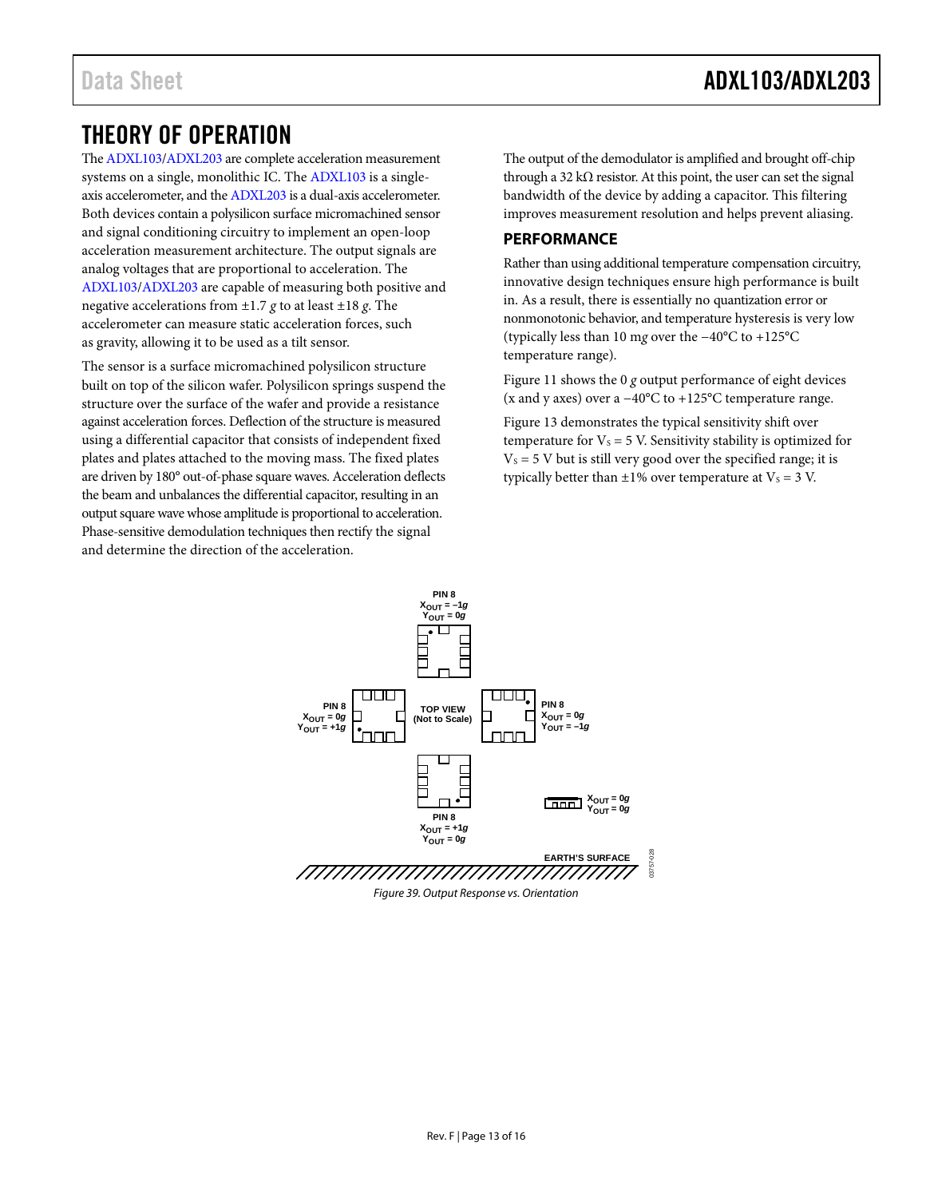### <span id="page-12-0"></span>THEORY OF OPERATION

Th[e ADXL103](http://www.analog.com/ADXL103?doc=ADXL103_203.pdf)[/ADXL203](http://www.analog.com/ADXL203?doc=ADXL103_203.pdf) are complete acceleration measurement systems on a single, monolithic IC. Th[e ADXL103](http://www.analog.com/ADXL103?doc=ADXL103_203.pdf) is a singleaxis accelerometer, and th[e ADXL203](http://www.analog.com/ADXL203?doc=ADXL103_203.pdf) is a dual-axis accelerometer. Both devices contain a polysilicon surface micromachined sensor and signal conditioning circuitry to implement an open-loop acceleration measurement architecture. The output signals are analog voltages that are proportional to acceleration. The [ADXL103/](http://www.analog.com/ADXL103?doc=ADXL103_203.pdf)[ADXL203](http://www.analog.com/ADXL203?doc=ADXL103_203.pdf) are capable of measuring both positive and negative accelerations from ±1.7 *g* to at least ±18 *g*. The accelerometer can measure static acceleration forces, such as gravity, allowing it to be used as a tilt sensor.

The sensor is a surface micromachined polysilicon structure built on top of the silicon wafer. Polysilicon springs suspend the structure over the surface of the wafer and provide a resistance against acceleration forces. Deflection of the structure is measured using a differential capacitor that consists of independent fixed plates and plates attached to the moving mass. The fixed plates are driven by 180° out-of-phase square waves. Acceleration deflects the beam and unbalances the differential capacitor, resulting in an output square wave whose amplitude is proportional to acceleration. Phase-sensitive demodulation techniques then rectify the signal and determine the direction of the acceleration.

The output of the demodulator is amplified and brought off-chip through a 32 k $\Omega$  resistor. At this point, the user can set the signal bandwidth of the device by adding a capacitor. This filtering improves measurement resolution and helps prevent aliasing.

### <span id="page-12-1"></span>**PERFORMANCE**

Rather than using additional temperature compensation circuitry, innovative design techniques ensure high performance is built in. As a result, there is essentially no quantization error or nonmonotonic behavior, and temperature hysteresis is very low (typically less than 10 m*g* over the −40°C to +125°C temperature range).

[Figure 11](#page-6-0) shows the 0 *g* output performance of eight devices (x and y axes) over a −40°C to +125°C temperature range.

[Figure 13](#page-6-1) demonstrates the typical sensitivity shift over temperature for  $V_s = 5$  V. Sensitivity stability is optimized for  $V<sub>S</sub> = 5$  V but is still very good over the specified range; it is typically better than  $\pm 1\%$  over temperature at  $V_s = 3$  V.

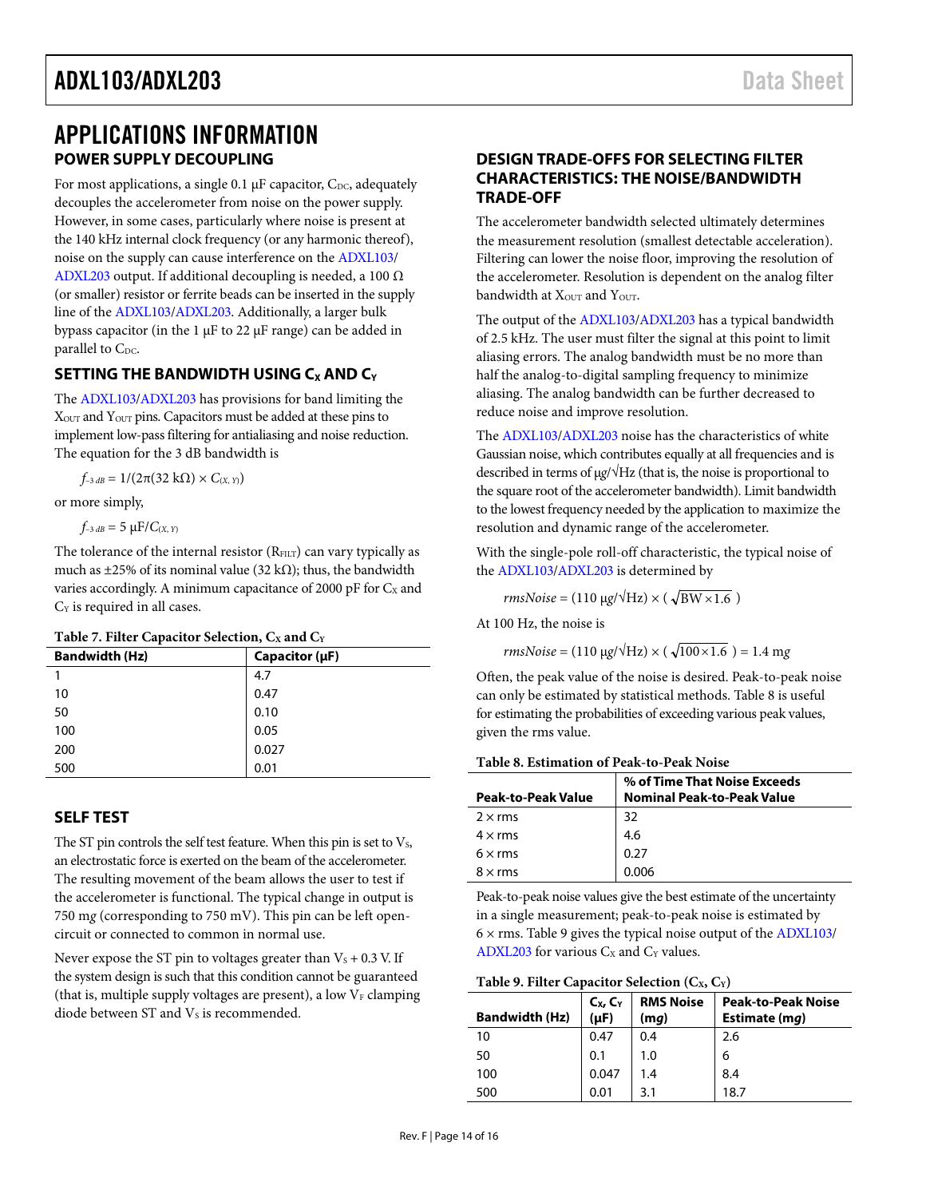### <span id="page-13-1"></span><span id="page-13-0"></span>APPLICATIONS INFORMATION **POWER SUPPLY DECOUPLING**

For most applications, a single 0.1  $\mu$ F capacitor, C<sub>DC</sub>, adequately decouples the accelerometer from noise on the power supply. However, in some cases, particularly where noise is present at the 140 kHz internal clock frequency (or any harmonic thereof), noise on the supply can cause interference on th[e ADXL103/](http://www.analog.com/ADXL103?doc=ADXL103_203.pdf) [ADXL203](http://www.analog.com/ADXL203?doc=ADXL103_203.pdf) output. If additional decoupling is needed, a 100 Ω (or smaller) resistor or ferrite beads can be inserted in the supply line of the [ADXL103](http://www.analog.com/ADXL103?doc=ADXL103_203.pdf)[/ADXL203.](http://www.analog.com/ADXL203?doc=ADXL103_203.pdf) Additionally, a larger bulk bypass capacitor (in the 1 µF to 22 µF range) can be added in parallel to C<sub>DC</sub>.

### <span id="page-13-2"></span>**SETTING THE BANDWIDTH USING C<sub>X</sub> AND C<sub>Y</sub>**

The [ADXL103/](http://www.analog.com/ADXL103?doc=ADXL103_203.pdf)[ADXL203](http://www.analog.com/ADXL203?doc=ADXL103_203.pdf) has provisions for band limiting the XOUT and YOUT pins. Capacitors must be added at these pins to implement low-pass filtering for antialiasing and noise reduction. The equation for the 3 dB bandwidth is

 $f_{-3 dB} = 1/(2\pi(32 \text{ k}\Omega) \times C_{(X, Y)})$ 

or more simply,

 $f_{-3 dB} = 5 \mu F / C_{(X, Y)}$ 

The tolerance of the internal resistor  $(R<sub>FILT</sub>)$  can vary typically as much as  $\pm$ 25% of its nominal value (32 kΩ); thus, the bandwidth varies accordingly. A minimum capacitance of 2000 pF for  $C_x$  and  $C_Y$  is required in all cases.

#### Table 7. Filter Capacitor Selection, C<sub>x</sub> and C<sub>Y</sub>

| л.                    |                     |
|-----------------------|---------------------|
| <b>Bandwidth (Hz)</b> | Capacitor $(\mu F)$ |
|                       | 4.7                 |
| 10                    | 0.47                |
| 50                    | 0.10                |
| 100                   | 0.05                |
| 200                   | 0.027               |
| 500                   | 0.01                |
|                       |                     |

### <span id="page-13-3"></span>**SELF TEST**

The ST pin controls the self test feature. When this pin is set to  $V_s$ , an electrostatic force is exerted on the beam of the accelerometer. The resulting movement of the beam allows the user to test if the accelerometer is functional. The typical change in output is 750 m*g* (corresponding to 750 mV). This pin can be left opencircuit or connected to common in normal use.

Never expose the ST pin to voltages greater than  $V_s + 0.3$  V. If the system design is such that this condition cannot be guaranteed (that is, multiple supply voltages are present), a low  $V_F$  clamping diode between  $ST$  and  $Vs$  is recommended.

### <span id="page-13-4"></span>**DESIGN TRADE-OFFS FOR SELECTING FILTER CHARACTERISTICS: THE NOISE/BANDWIDTH TRADE-OFF**

The accelerometer bandwidth selected ultimately determines the measurement resolution (smallest detectable acceleration). Filtering can lower the noise floor, improving the resolution of the accelerometer. Resolution is dependent on the analog filter bandwidth at  $X_{\text{OUT}}$  and  $Y_{\text{OUT}}$ .

The output of th[e ADXL103](http://www.analog.com/ADXL103?doc=ADXL103_203.pdf)[/ADXL203](http://www.analog.com/ADXL203?doc=ADXL103_203.pdf) has a typical bandwidth of 2.5 kHz. The user must filter the signal at this point to limit aliasing errors. The analog bandwidth must be no more than half the analog-to-digital sampling frequency to minimize aliasing. The analog bandwidth can be further decreased to reduce noise and improve resolution.

The [ADXL103/](http://www.analog.com/ADXL103?doc=ADXL103_203.pdf)[ADXL203](http://www.analog.com/ADXL203?doc=ADXL103_203.pdf) noise has the characteristics of white Gaussian noise, which contributes equally at all frequencies and is described in terms of µ*g*/√Hz (that is, the noise is proportional to the square root of the accelerometer bandwidth). Limit bandwidth to the lowest frequency needed by the application to maximize the resolution and dynamic range of the accelerometer.

With the single-pole roll-off characteristic, the typical noise of the [ADXL103](http://www.analog.com/ADXL103?doc=ADXL103_203.pdf)[/ADXL203](http://www.analog.com/ADXL203?doc=ADXL103_203.pdf) is determined by

 $rmsNoise = (110 \mu g/\sqrt{Hz}) \times (\sqrt{BW \times 1.6})$ 

At 100 Hz, the noise is

 $rmsNoise = (110 \mu g/\sqrt{Hz}) \times (\sqrt{100 \times 1.6}) = 1.4 mg$ 

Often, the peak value of the noise is desired. Peak-to-peak noise can only be estimated by statistical methods[. Table 8](#page-13-5) is useful for estimating the probabilities of exceeding various peak values, given the rms value.

#### <span id="page-13-5"></span>**Table 8. Estimation of Peak-to-Peak Noise**

| <b>Peak-to-Peak Value</b> | % of Time That Noise Exceeds<br><b>Nominal Peak-to-Peak Value</b> |
|---------------------------|-------------------------------------------------------------------|
| $2 \times$ rms            | 32                                                                |
| $4 \times$ rms            | 4.6                                                               |
| $6 \times rms$            | 0.27                                                              |
| $8 \times$ rms            | 0.006                                                             |

Peak-to-peak noise values give the best estimate of the uncertainty in a single measurement; peak-to-peak noise is estimated by  $6 \times$  rms[. Table 9](#page-13-6) gives the typical noise output of th[e ADXL103/](http://www.analog.com/ADXL103?doc=ADXL103_203.pdf) [ADXL203](http://www.analog.com/ADXL203?doc=ADXL103_203.pdf) for various  $C_X$  and  $C_Y$  values.

#### <span id="page-13-6"></span>Table 9. Filter Capacitor Selection (C<sub>x</sub>, C<sub>Y</sub>)

| <b>Bandwidth (Hz)</b> | $C_{X}$ , $C_{Y}$<br>$(\mu F)$ | <b>RMS Noise</b><br>(mq) | <b>Peak-to-Peak Noise</b><br>Estimate (mq) |
|-----------------------|--------------------------------|--------------------------|--------------------------------------------|
| 10                    | 0.47                           | 0.4                      | 2.6                                        |
| 50                    | 0.1                            | 1.0                      | 6                                          |
| 100                   | 0.047                          | 1.4                      | 8.4                                        |
| 500                   | 0.01                           | 3.1                      | 18.7                                       |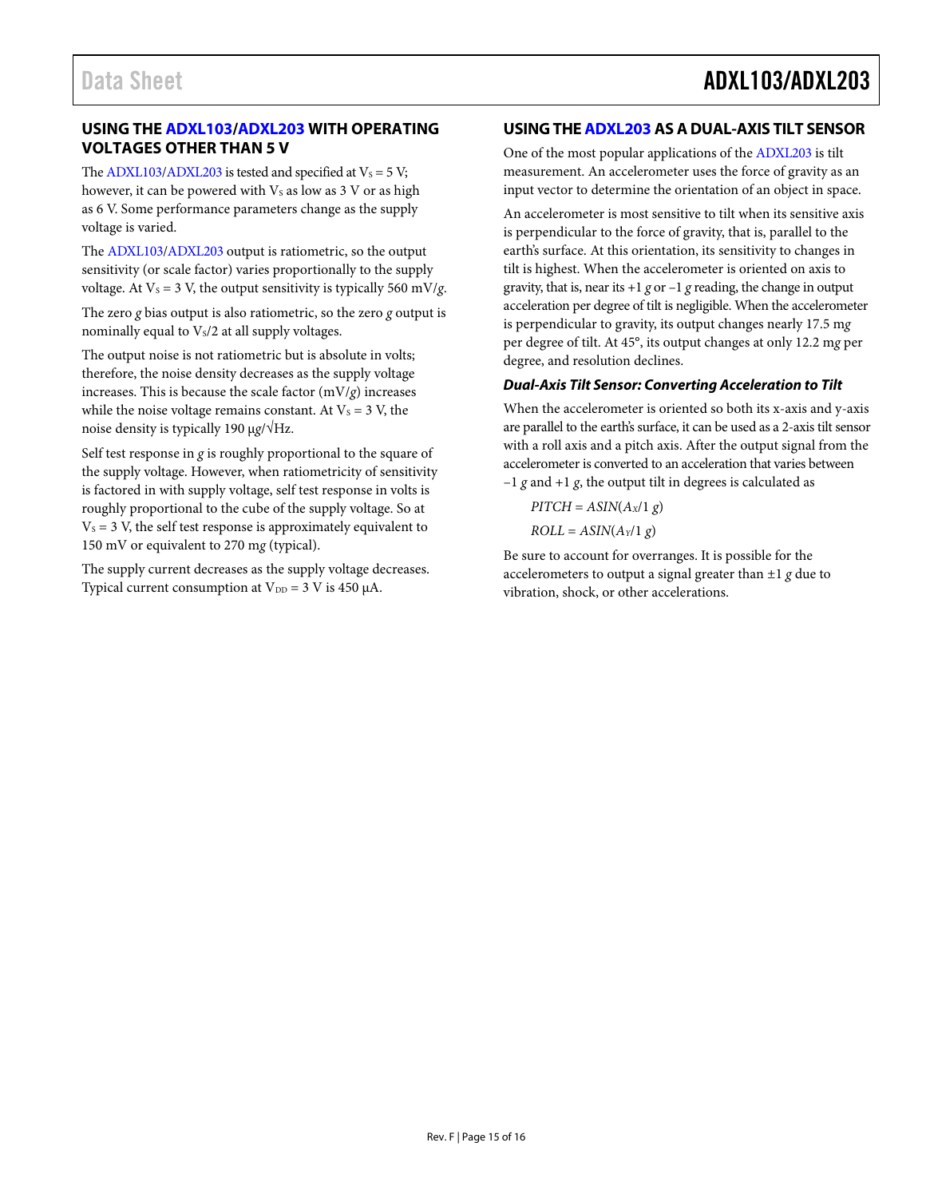### <span id="page-14-0"></span>**USING TH[E ADXL103](http://www.analog.com/ADXL103?doc=ADXL103_203.pdf)[/ADXL203 W](http://www.analog.com/ADXL203?doc=ADXL103_203.pdf)ITH OPERATING VOLTAGES OTHER THAN 5 V**

The  $ADXL103/ADXL203$  is tested and specified at  $V_s = 5 V$ ; however, it can be powered with  $V<sub>S</sub>$  as low as 3 V or as high as 6 V. Some performance parameters change as the supply voltage is varied.

The [ADXL103](http://www.analog.com/ADXL103?doc=ADXL103_203.pdf)[/ADXL203 o](http://www.analog.com/ADXL203?doc=ADXL103_203.pdf)utput is ratiometric, so the output sensitivity (or scale factor) varies proportionally to the supply voltage. At  $V_s = 3$  V, the output sensitivity is typically 560 mV/*g*.

The zero *g* bias output is also ratiometric, so the zero *g* output is nominally equal to  $V_s/2$  at all supply voltages.

The output noise is not ratiometric but is absolute in volts; therefore, the noise density decreases as the supply voltage increases. This is because the scale factor (mV/*g*) increases while the noise voltage remains constant. At  $V_s = 3$  V, the noise density is typically 190 μ*g*/√Hz.

Self test response in *g* is roughly proportional to the square of the supply voltage. However, when ratiometricity of sensitivity is factored in with supply voltage, self test response in volts is roughly proportional to the cube of the supply voltage. So at  $V_s = 3$  V, the self test response is approximately equivalent to 150 mV or equivalent to 270 m*g* (typical).

The supply current decreases as the supply voltage decreases. Typical current consumption at  $V_{DD} = 3$  V is 450  $\mu$ A.

### <span id="page-14-1"></span>**USING TH[E ADXL203 A](http://www.analog.com/ADXL203?doc=ADXL103_203.pdf)S A DUAL-AXIS TILT SENSOR**

One of the most popular applications of the [ADXL203](http://www.analog.com/ADXL203?doc=ADXL103_203.pdf) is tilt measurement. An accelerometer uses the force of gravity as an input vector to determine the orientation of an object in space.

An accelerometer is most sensitive to tilt when its sensitive axis is perpendicular to the force of gravity, that is, parallel to the earth's surface. At this orientation, its sensitivity to changes in tilt is highest. When the accelerometer is oriented on axis to gravity, that is, near its  $+1$  *g* or  $-1$  *g* reading, the change in output acceleration per degree of tilt is negligible. When the accelerometer is perpendicular to gravity, its output changes nearly 17.5 m*g* per degree of tilt. At 45°, its output changes at only 12.2 m*g* per degree, and resolution declines.

### **Dual-Axis Tilt Sensor: Converting Acceleration to Tilt**

When the accelerometer is oriented so both its x-axis and y-axis are parallel to the earth's surface, it can be used as a 2-axis tilt sensor with a roll axis and a pitch axis. After the output signal from the accelerometer is converted to an acceleration that varies between –1 *g* and +1 *g*, the output tilt in degrees is calculated as

 $PITCH = ASIN(A_X/1 g)$  $ROLL = ASIN(A_Y/1 g)$ 

Be sure to account for overranges. It is possible for the accelerometers to output a signal greater than ±1 *g* due to vibration, shock, or other accelerations.